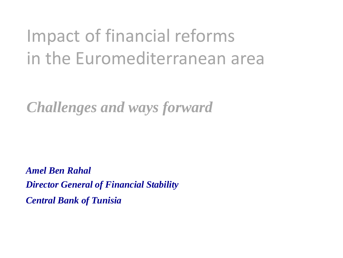### Impact of financial reforms in the Euromediterranean area

*Challenges and ways forward*

*Amel Ben Rahal Director General of Financial Stability Central Bank of Tunisia*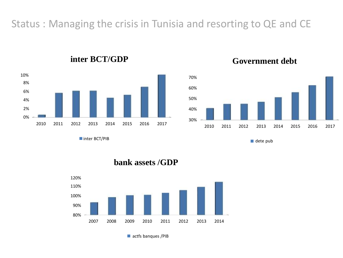### Status : Managing the crisis in Tunisia and resorting to QE and CE



**inter BCT/GDP**





dete pub

**bank assets /GDP**

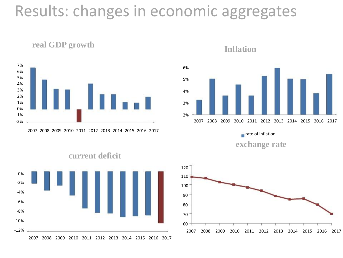### Results: changes in economic aggregates



**real GDP growth**

2007 2008 2009 2010 2011 2012 2013 2014 2015 2016 2017

#### **Inflation**



**exchange rate**



#### **current deficit**

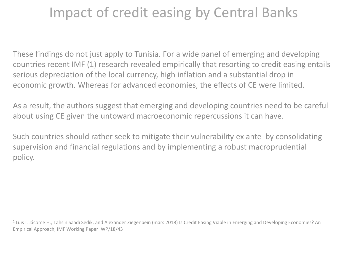### Impact of credit easing by Central Banks

These findings do not just apply to Tunisia. For a wide panel of emerging and developing countries recent IMF (1) research revealed empirically that resorting to credit easing entails serious depreciation of the local currency, high inflation and a substantial drop in economic growth. Whereas for advanced economies, the effects of CE were limited.

As a result, the authors suggest that emerging and developing countries need to be careful about using CE given the untoward macroeconomic repercussions it can have.

Such countries should rather seek to mitigate their vulnerability ex ante by consolidating supervision and financial regulations and by implementing a robust macroprudential policy.

<sup>1</sup> Luis I. Jácome H., Tahsin Saadi Sedik, and Alexander Ziegenbein (mars 2018) Is Credit Easing Viable in Emerging and Developing Economies? An Empirical Approach, IMF Working Paper WP/18/43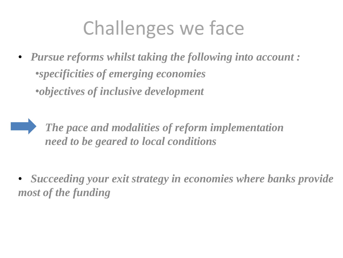# Challenges we face

• *Pursue reforms whilst taking the following into account :* •*specificities of emerging economies* •*objectives of inclusive development*

*The pace and modalities of reform implementation need to be geared to local conditions*

• *Succeeding your exit strategy in economies where banks provide most of the funding*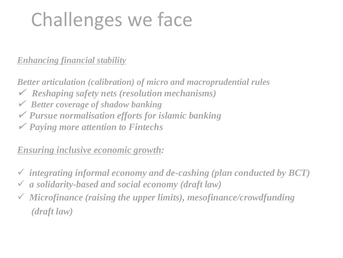# Challenges we face

*Enhancing financial stability*

*Better articulation (calibration) of micro and macroprudential rules Reshaping safety nets (resolution mechanisms) Better coverage of shadow banking Pursue normalisation efforts for islamic banking Paying more attention to Fintechs*

*Ensuring inclusive economic growth:*

- *integrating informal economy and de-cashing (plan conducted by BCT) a solidarity-based and social economy (draft law)*
- *Microfinance (raising the upper limits), mesofinance/crowdfunding (draft law)*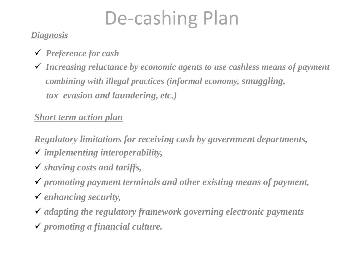# De-cashing Plan

#### *Diagnosis*

- *Preference for cash*
- *Increasing reluctance by economic agents to use cashless means of payment combining with illegal practices (informal economy, smuggling, tax evasion and laundering, etc.)*

#### *Short term action plan*

*Regulatory limitations for receiving cash by government departments, implementing interoperability,*

- *shaving costs and tariffs,*
- *promoting payment terminals and other existing means of payment,*
- *enhancing security,*
- *adapting the regulatory framework governing electronic payments promoting a financial culture.*